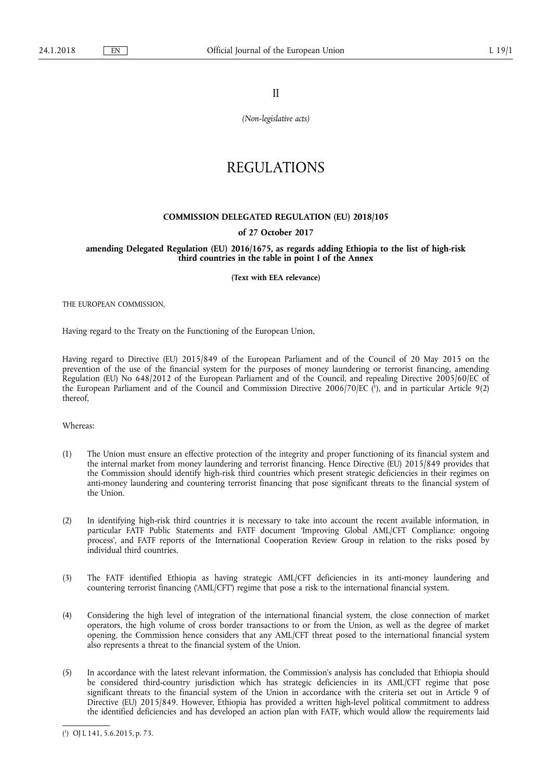II

*(Non-legislative acts)* 

## REGULATIONS

## **COMMISSION DELEGATED REGULATION (EU) 2018/105**

## **of 27 October 2017**

## **amending Delegated Regulation (EU) 2016/1675, as regards adding Ethiopia to the list of high-risk third countries in the table in point I of the Annex**

**(Text with EEA relevance)** 

THE EUROPEAN COMMISSION,

Having regard to the Treaty on the Functioning of the European Union,

Having regard to Directive (EU) 2015/849 of the European Parliament and of the Council of 20 May 2015 on the prevention of the use of the financial system for the purposes of money laundering or terrorist financing, amending Regulation (EU) No 648/2012 of the European Parliament and of the Council, and repealing Directive 2005/60/EC of the European Parliament and of the Council and Commission Directive 2006/70/EC ( 1 ), and in particular Article 9(2) thereof,

Whereas:

- (1) The Union must ensure an effective protection of the integrity and proper functioning of its financial system and the internal market from money laundering and terrorist financing. Hence Directive (EU) 2015/849 provides that the Commission should identify high-risk third countries which present strategic deficiencies in their regimes on anti-money laundering and countering terrorist financing that pose significant threats to the financial system of the Union.
- (2) In identifying high-risk third countries it is necessary to take into account the recent available information, in particular FATF Public Statements and FATF document 'Improving Global AML/CFT Compliance: ongoing process', and FATF reports of the International Cooperation Review Group in relation to the risks posed by individual third countries.
- (3) The FATF identified Ethiopia as having strategic AML/CFT deficiencies in its anti-money laundering and countering terrorist financing ('AML/CFT') regime that pose a risk to the international financial system.
- (4) Considering the high level of integration of the international financial system, the close connection of market operators, the high volume of cross border transactions to or from the Union, as well as the degree of market opening, the Commission hence considers that any AML/CFT threat posed to the international financial system also represents a threat to the financial system of the Union.
- (5) In accordance with the latest relevant information, the Commission's analysis has concluded that Ethiopia should be considered third-country jurisdiction which has strategic deficiencies in its AML/CFT regime that pose significant threats to the financial system of the Union in accordance with the criteria set out in Article 9 of Directive (EU) 2015/849. However, Ethiopia has provided a written high-level political commitment to address the identified deficiencies and has developed an action plan with FATF, which would allow the requirements laid

<sup>(</sup> 1 ) OJ L 141, 5.6.2015, p. 73.